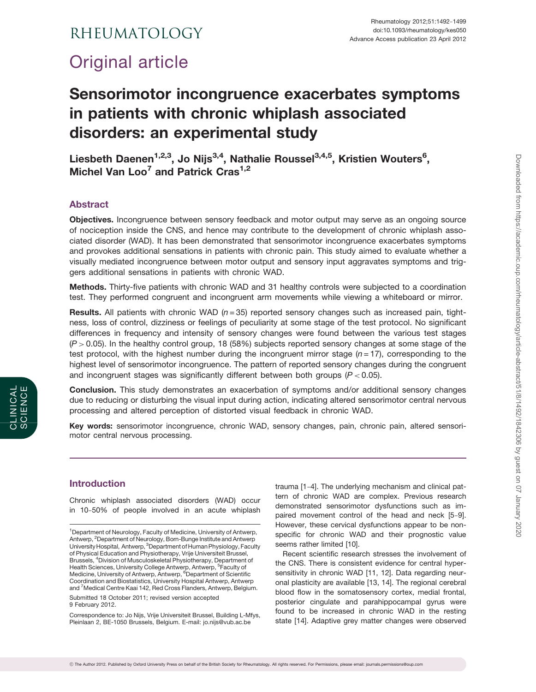# RHEUMATOLOGY

# Original article

# Sensorimotor incongruence exacerbates symptoms in patients with chronic whiplash associated disorders: an experimental study

Liesbeth Daenen<sup>1,2,3</sup>, Jo Nijs<sup>3,4</sup>, Nathalie Roussel<sup>3,4,5</sup>, Kristien Wouters<sup>6</sup>, Michel Van Loo<sup>7</sup> and Patrick Cras<sup>1,2</sup>

## Abstract

Objectives. Incongruence between sensory feedback and motor output may serve as an ongoing source of nociception inside the CNS, and hence may contribute to the development of chronic whiplash associated disorder (WAD). It has been demonstrated that sensorimotor incongruence exacerbates symptoms and provokes additional sensations in patients with chronic pain. This study aimed to evaluate whether a visually mediated incongruence between motor output and sensory input aggravates symptoms and triggers additional sensations in patients with chronic WAD.

Methods. Thirty-five patients with chronic WAD and 31 healthy controls were subjected to a coordination test. They performed congruent and incongruent arm movements while viewing a whiteboard or mirror.

**Results.** All patients with chronic WAD ( $n = 35$ ) reported sensory changes such as increased pain, tightness, loss of control, dizziness or feelings of peculiarity at some stage of the test protocol. No significant differences in frequency and intensity of sensory changes were found between the various test stages  $(P > 0.05)$ . In the healthy control group, 18 (58%) subjects reported sensory changes at some stage of the test protocol, with the highest number during the incongruent mirror stage  $(n=17)$ , corresponding to the highest level of sensorimotor incongruence. The pattern of reported sensory changes during the congruent and incongruent stages was significantly different between both groups  $(P < 0.05)$ .

Conclusion. This study demonstrates an exacerbation of symptoms and/or additional sensory changes due to reducing or disturbing the visual input during action, indicating altered sensorimotor central nervous processing and altered perception of distorted visual feedback in chronic WAD.

Key words: sensorimotor incongruence, chronic WAD, sensory changes, pain, chronic pain, altered sensorimotor central nervous processing.

## Introduction

CLINICAL SCIENCE

SCIENCE CLINICAL

> Chronic whiplash associated disorders (WAD) occur in 10-50% of people involved in an acute whiplash

Submitted 18 October 2011; revised version accepted 9 February 2012.

Correspondence to: Jo Nijs, Vrije Universiteit Brussel, Building L-Mfys, Pleinlaan 2, BE-1050 Brussels, Belgium. E-mail: jo.nijs@vub.ac.be

trauma [\[1](#page-6-0)-[4\]](#page-6-0). The underlying mechanism and clinical pattern of chronic WAD are complex. Previous research demonstrated sensorimotor dysfunctions such as impaired movement control of the head and neck [[5](#page-6-0)-[9](#page-6-0)]. However, these cervical dysfunctions appear to be nonspecific for chronic WAD and their prognostic value seems rather limited [\[10\]](#page-6-0).

Recent scientific research stresses the involvement of the CNS. There is consistent evidence for central hypersensitivity in chronic WAD [[11, 12\]](#page-6-0). Data regarding neuronal plasticity are available [[13](#page-6-0), [14](#page-6-0)]. The regional cerebral blood flow in the somatosensory cortex, medial frontal, posterior cingulate and parahippocampal gyrus were found to be increased in chronic WAD in the resting state [[14](#page-6-0)]. Adaptive grey matter changes were observed

<sup>&</sup>lt;sup>1</sup> Department of Neurology, Faculty of Medicine, University of Antwerp, Antwerp, <sup>2</sup>Department of Neurology, Born-Bunge Institute and Antwerp University Hospital, Antwerp, <sup>3</sup>Department of Human Physiology, Faculty of Physical Education and Physiotherapy, Vrije Universiteit Brussel, Brussels, <sup>4</sup> Division of Musculoskeletal Physiotherapy, Department of Health Sciences, University College Antwerp, Antwerp, <sup>5</sup>Faculty of Medicine, University of Antwerp, Antwerp, <sup>6</sup>Department of Scientific Coordination and Biostatistics, University Hospital Antwerp, Antwerp and <sup>7</sup> Medical Centre Kaai 142, Red Cross Flanders, Antwerp, Belgium.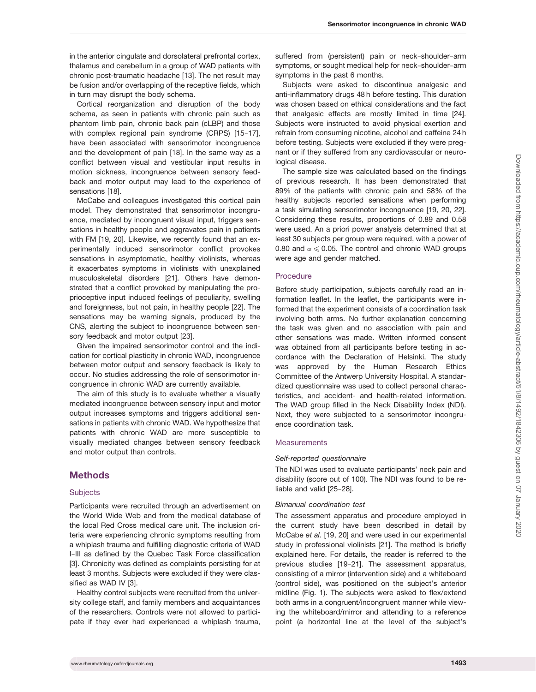in the anterior cingulate and dorsolateral prefrontal cortex, thalamus and cerebellum in a group of WAD patients with chronic post-traumatic headache [\[13\]](#page-6-0). The net result may be fusion and/or overlapping of the receptive fields, which in turn may disrupt the body schema.

Cortical reorganization and disruption of the body schema, as seen in patients with chronic pain such as phantom limb pain, chronic back pain (cLBP) and those with complex regional pain syndrome (CRPS) [\[15](#page-6-0)-[17](#page-6-0)], have been associated with sensorimotor incongruence and the development of pain [\[18\]](#page-6-0). In the same way as a conflict between visual and vestibular input results in motion sickness, incongruence between sensory feedback and motor output may lead to the experience of sensations [[18](#page-6-0)].

McCabe and colleagues investigated this cortical pain model. They demonstrated that sensorimotor incongruence, mediated by incongruent visual input, triggers sensations in healthy people and aggravates pain in patients with FM [\[19, 20](#page-6-0)]. Likewise, we recently found that an experimentally induced sensorimotor conflict provokes sensations in asymptomatic, healthy violinists, whereas it exacerbates symptoms in violinists with unexplained musculoskeletal disorders [[21](#page-6-0)]. Others have demonstrated that a conflict provoked by manipulating the proprioceptive input induced feelings of peculiarity, swelling and foreignness, but not pain, in healthy people [[22](#page-6-0)]. The sensations may be warning signals, produced by the CNS, alerting the subject to incongruence between sensory feedback and motor output [\[23\]](#page-6-0).

Given the impaired sensorimotor control and the indication for cortical plasticity in chronic WAD, incongruence between motor output and sensory feedback is likely to occur. No studies addressing the role of sensorimotor incongruence in chronic WAD are currently available.

The aim of this study is to evaluate whether a visually mediated incongruence between sensory input and motor output increases symptoms and triggers additional sensations in patients with chronic WAD. We hypothesize that patients with chronic WAD are more susceptible to visually mediated changes between sensory feedback and motor output than controls.

## **Methods**

#### **Subjects**

Participants were recruited through an advertisement on the World Wide Web and from the medical database of the local Red Cross medical care unit. The inclusion criteria were experiencing chronic symptoms resulting from a whiplash trauma and fulfilling diagnostic criteria of WAD I-III as defined by the Quebec Task Force classification [[3](#page-6-0)]. Chronicity was defined as complaints persisting for at least 3 months. Subjects were excluded if they were classified as WAD IV [\[3](#page-6-0)].

Healthy control subjects were recruited from the university college staff, and family members and acquaintances of the researchers. Controls were not allowed to participate if they ever had experienced a whiplash trauma,

suffered from (persistent) pain or neck-shoulder-arm symptoms, or sought medical help for neck-shoulder-arm symptoms in the past 6 months.

Subjects were asked to discontinue analgesic and anti-inflammatory drugs 48 h before testing. This duration was chosen based on ethical considerations and the fact that analgesic effects are mostly limited in time [[24](#page-7-0)]. Subjects were instructed to avoid physical exertion and refrain from consuming nicotine, alcohol and caffeine 24 h before testing. Subjects were excluded if they were pregnant or if they suffered from any cardiovascular or neurological disease.

The sample size was calculated based on the findings of previous research. It has been demonstrated that 89% of the patients with chronic pain and 58% of the healthy subjects reported sensations when performing a task simulating sensorimotor incongruence [[19, 20, 22](#page-6-0)]. Considering these results, proportions of 0.89 and 0.58 were used. An a priori power analysis determined that at least 30 subjects per group were required, with a power of 0.80 and  $\alpha \leqslant 0.05$ . The control and chronic WAD groups were age and gender matched.

#### Procedure

Before study participation, subjects carefully read an information leaflet. In the leaflet, the participants were informed that the experiment consists of a coordination task involving both arms. No further explanation concerning the task was given and no association with pain and other sensations was made. Written informed consent was obtained from all participants before testing in accordance with the Declaration of Helsinki. The study was approved by the Human Research Ethics Committee of the Antwerp University Hospital. A standardized questionnaire was used to collect personal characteristics, and accident- and health-related information. The WAD group filled in the Neck Disability Index (NDI). Next, they were subjected to a sensorimotor incongruence coordination task.

#### **Measurements**

#### Self-reported questionnaire

The NDI was used to evaluate participants' neck pain and disability (score out of 100). The NDI was found to be reliable and valid [[25](#page-7-0)-[28\]](#page-7-0).

#### Bimanual coordination test

The assessment apparatus and procedure employed in the current study have been described in detail by McCabe et al. [[19](#page-6-0), [20](#page-6-0)] and were used in our experimental study in professional violinists [[21](#page-6-0)]. The method is briefly explained here. For details, the reader is referred to the previous studies [\[19](#page-6-0)-[21\]](#page-6-0). The assessment apparatus, consisting of a mirror (intervention side) and a whiteboard (control side), was positioned on the subject's anterior midline (Fig. 1). The subjects were asked to flex/extend both arms in a congruent/incongruent manner while viewing the whiteboard/mirror and attending to a reference point (a horizontal line at the level of the subject's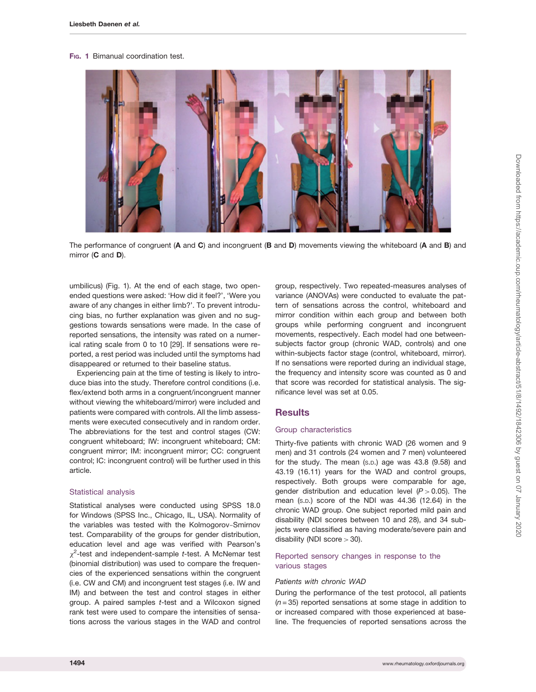#### FIG. 1 Bimanual coordination test.



The performance of congruent (A and C) and incongruent (B and D) movements viewing the whiteboard (A and B) and mirror (C and D).

umbilicus) (Fig. 1). At the end of each stage, two openended questions were asked: 'How did it feel?', 'Were you aware of any changes in either limb?'. To prevent introducing bias, no further explanation was given and no suggestions towards sensations were made. In the case of reported sensations, the intensity was rated on a numerical rating scale from 0 to 10 [[29](#page-7-0)]. If sensations were reported, a rest period was included until the symptoms had disappeared or returned to their baseline status.

Experiencing pain at the time of testing is likely to introduce bias into the study. Therefore control conditions (i.e. flex/extend both arms in a congruent/incongruent manner without viewing the whiteboard/mirror) were included and patients were compared with controls. All the limb assessments were executed consecutively and in random order. The abbreviations for the test and control stages (CW: congruent whiteboard; IW: incongruent whiteboard; CM: congruent mirror; IM: incongruent mirror; CC: congruent control; IC: incongruent control) will be further used in this article.

#### Statistical analysis

Statistical analyses were conducted using SPSS 18.0 for Windows (SPSS Inc., Chicago, IL, USA). Normality of the variables was tested with the Kolmogorov-Smirnov test. Comparability of the groups for gender distribution, education level and age was verified with Pearson's  $\chi^2$ -test and independent-sample t-test. A McNemar test (binomial distribution) was used to compare the frequencies of the experienced sensations within the congruent (i.e. CW and CM) and incongruent test stages (i.e. IW and IM) and between the test and control stages in either group. A paired samples t-test and a Wilcoxon signed rank test were used to compare the intensities of sensations across the various stages in the WAD and control

group, respectively. Two repeated-measures analyses of variance (ANOVAs) were conducted to evaluate the pattern of sensations across the control, whiteboard and mirror condition within each group and between both groups while performing congruent and incongruent movements, respectively. Each model had one betweensubjects factor group (chronic WAD, controls) and one within-subjects factor stage (control, whiteboard, mirror). If no sensations were reported during an individual stage, the frequency and intensity score was counted as 0 and that score was recorded for statistical analysis. The significance level was set at 0.05.

### **Results**

#### Group characteristics

Thirty-five patients with chronic WAD (26 women and 9 men) and 31 controls (24 women and 7 men) volunteered for the study. The mean (S.D.) age was 43.8 (9.58) and 43.19 (16.11) years for the WAD and control groups, respectively. Both groups were comparable for age, gender distribution and education level  $(P > 0.05)$ . The mean (S.D.) score of the NDI was 44.36 (12.64) in the chronic WAD group. One subject reported mild pain and disability (NDI scores between 10 and 28), and 34 subjects were classified as having moderate/severe pain and disability (NDI score > 30).

## Reported sensory changes in response to the various stages

## Patients with chronic WAD

During the performance of the test protocol, all patients  $(n=35)$  reported sensations at some stage in addition to or increased compared with those experienced at baseline. The frequencies of reported sensations across the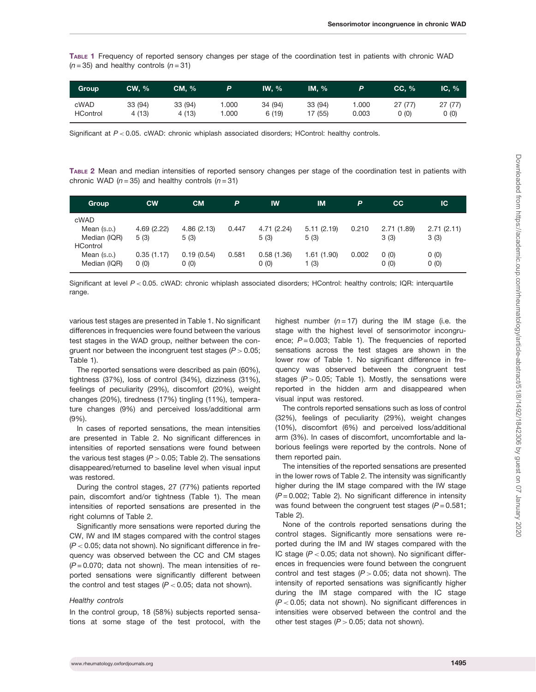TABLE 1 Frequency of reported sensory changes per stage of the coordination test in patients with chronic WAD  $(n = 35)$  and healthy controls  $(n = 31)$ 

| <b>Group</b>    | <b>CW.</b> % | <b>CM.</b> % | P      | IW. $%$ | IM. %   | D     | CC. %  | IC. %  |
|-----------------|--------------|--------------|--------|---------|---------|-------|--------|--------|
| cWAD            | 33 (94)      | 33 (94)      | 000. ا | 34 (94) | 33 (94) | 1.000 | 27(77) | 27(77) |
| <b>HControl</b> | 4(13)        | 4(13)        | .000   | 6(19)   | 17 (55) | 0.003 | 0(0)   | 0(0)   |

Significant at P < 0.05. cWAD: chronic whiplash associated disorders; HControl: healthy controls.

TABLE 2 Mean and median intensities of reported sensory changes per stage of the coordination test in patients with chronic WAD ( $n = 35$ ) and healthy controls ( $n = 31$ )

| Group                            | <b>CW</b>  | <b>CM</b>  | P     | <b>IW</b>  | <b>IM</b>  | P     | cc         | IC         |
|----------------------------------|------------|------------|-------|------------|------------|-------|------------|------------|
| cWAD<br>Mean $(s.p.)$            | 4.69(2.22) | 4.86(2.13) | 0.447 | 4.71(2.24) | 5.11(2.19) | 0.210 | 2.71(1.89) | 2.71(2.11) |
| Median (IQR)                     | 5(3)       | 5(3)       |       | 5(3)       | 5(3)       |       | 3(3)       | 3(3)       |
| <b>HControl</b><br>Mean $(s.p.)$ | 0.35(1.17) | 0.19(0.54) | 0.581 | 0.58(1.36) | 1.61(1.90) | 0.002 | 0(0)       | 0(0)       |
| Median (IQR)                     | 0(0)       | 0(0)       |       | 0(0)       | 1 (3)      |       | 0(0)       | 0(0)       |

Significant at level  $P < 0.05$ . cWAD: chronic whiplash associated disorders; HControl: healthy controls; IQR: interquartile range.

various test stages are presented in Table 1. No significant differences in frequencies were found between the various test stages in the WAD group, neither between the congruent nor between the incongruent test stages ( $P > 0.05$ ; Table 1).

The reported sensations were described as pain (60%), tightness (37%), loss of control (34%), dizziness (31%), feelings of peculiarity (29%), discomfort (20%), weight changes (20%), tiredness (17%) tingling (11%), temperature changes (9%) and perceived loss/additional arm (9%).

In cases of reported sensations, the mean intensities are presented in Table 2. No significant differences in intensities of reported sensations were found between the various test stages ( $P > 0.05$ ; Table 2). The sensations disappeared/returned to baseline level when visual input was restored.

During the control stages, 27 (77%) patients reported pain, discomfort and/or tightness (Table 1). The mean intensities of reported sensations are presented in the right columns of Table 2.

Significantly more sensations were reported during the CW, IW and IM stages compared with the control stages  $(P < 0.05$ ; data not shown). No significant difference in frequency was observed between the CC and CM stages  $(P = 0.070$ ; data not shown). The mean intensities of reported sensations were significantly different between the control and test stages ( $P < 0.05$ ; data not shown).

#### Healthy controls

In the control group, 18 (58%) subjects reported sensations at some stage of the test protocol, with the highest number  $(n=17)$  during the IM stage (i.e. the stage with the highest level of sensorimotor incongruence;  $P = 0.003$ ; Table 1). The frequencies of reported sensations across the test stages are shown in the lower row of Table 1. No significant difference in frequency was observed between the congruent test stages ( $P > 0.05$ ; Table 1). Mostly, the sensations were reported in the hidden arm and disappeared when visual input was restored.

The controls reported sensations such as loss of control (32%), feelings of peculiarity (29%), weight changes (10%), discomfort (6%) and perceived loss/additional arm (3%). In cases of discomfort, uncomfortable and laborious feelings were reported by the controls. None of them reported pain.

The intensities of the reported sensations are presented in the lower rows of Table 2. The intensity was significantly higher during the IM stage compared with the IW stage  $(P = 0.002$ ; Table 2). No significant difference in intensity was found between the congruent test stages ( $P = 0.581$ ; Table 2).

None of the controls reported sensations during the control stages. Significantly more sensations were reported during the IM and IW stages compared with the IC stage  $(P < 0.05$ ; data not shown). No significant differences in frequencies were found between the congruent control and test stages  $(P > 0.05$ ; data not shown). The intensity of reported sensations was significantly higher during the IM stage compared with the IC stage  $(P < 0.05$ ; data not shown). No significant differences in intensities were observed between the control and the other test stages ( $P > 0.05$ ; data not shown).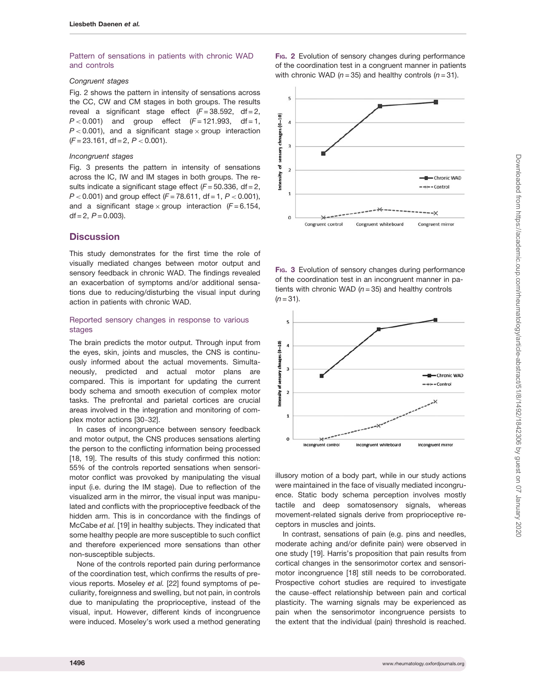Pattern of sensations in patients with chronic WAD and controls

## Congruent stages

Fig. 2 shows the pattern in intensity of sensations across the CC, CW and CM stages in both groups. The results reveal a significant stage effect  $(F = 38.592, df = 2,$  $P < 0.001$ ) and group effect  $(F = 121.993, df = 1,$  $P$  < 0.001), and a significant stage  $\times$  group interaction  $(F = 23.161, df = 2, P < 0.001).$ 

#### Incongruent stages

Fig. 3 presents the pattern in intensity of sensations across the IC, IW and IM stages in both groups. The results indicate a significant stage effect  $(F = 50.336, df = 2,$  $P < 0.001$ ) and group effect ( $F = 78.611$ , df = 1,  $P < 0.001$ ), and a significant stage  $\times$  group interaction (F=6.154,  $df = 2$ ,  $P = 0.003$ ).

## **Discussion**

This study demonstrates for the first time the role of visually mediated changes between motor output and sensory feedback in chronic WAD. The findings revealed an exacerbation of symptoms and/or additional sensations due to reducing/disturbing the visual input during action in patients with chronic WAD.

### Reported sensory changes in response to various stages

The brain predicts the motor output. Through input from the eyes, skin, joints and muscles, the CNS is continuously informed about the actual movements. Simultaneously, predicted and actual motor plans are compared. This is important for updating the current body schema and smooth execution of complex motor tasks. The prefrontal and parietal cortices are crucial areas involved in the integration and monitoring of complex motor actions [[30](#page-7-0)-[32\]](#page-7-0).

In cases of incongruence between sensory feedback and motor output, the CNS produces sensations alerting the person to the conflicting information being processed [[18, 19](#page-6-0)]. The results of this study confirmed this notion: 55% of the controls reported sensations when sensorimotor conflict was provoked by manipulating the visual input (i.e. during the IM stage). Due to reflection of the visualized arm in the mirror, the visual input was manipulated and conflicts with the proprioceptive feedback of the hidden arm. This is in concordance with the findings of McCabe et al. [[19\]](#page-6-0) in healthy subjects. They indicated that some healthy people are more susceptible to such conflict and therefore experienced more sensations than other non-susceptible subjects.

None of the controls reported pain during performance of the coordination test, which confirms the results of previous reports. Moseley et al. [[22](#page-6-0)] found symptoms of peculiarity, foreignness and swelling, but not pain, in controls due to manipulating the proprioceptive, instead of the visual, input. However, different kinds of incongruence were induced. Moseley's work used a method generating

F<sub>IG</sub>. 2 Evolution of sensory changes during performance of the coordination test in a congruent manner in patients with chronic WAD ( $n = 35$ ) and healthy controls ( $n = 31$ ).



Fig. 3 Evolution of sensory changes during performance of the coordination test in an incongruent manner in patients with chronic WAD ( $n = 35$ ) and healthy controls  $(n = 31)$ .



illusory motion of a body part, while in our study actions were maintained in the face of visually mediated incongruence. Static body schema perception involves mostly tactile and deep somatosensory signals, whereas movement-related signals derive from proprioceptive receptors in muscles and joints.

In contrast, sensations of pain (e.g. pins and needles, moderate aching and/or definite pain) were observed in one study [\[19\]](#page-6-0). Harris's proposition that pain results from cortical changes in the sensorimotor cortex and sensorimotor incongruence [\[18\]](#page-6-0) still needs to be corroborated. Prospective cohort studies are required to investigate the cause-effect relationship between pain and cortical plasticity. The warning signals may be experienced as pain when the sensorimotor incongruence persists to the extent that the individual (pain) threshold is reached.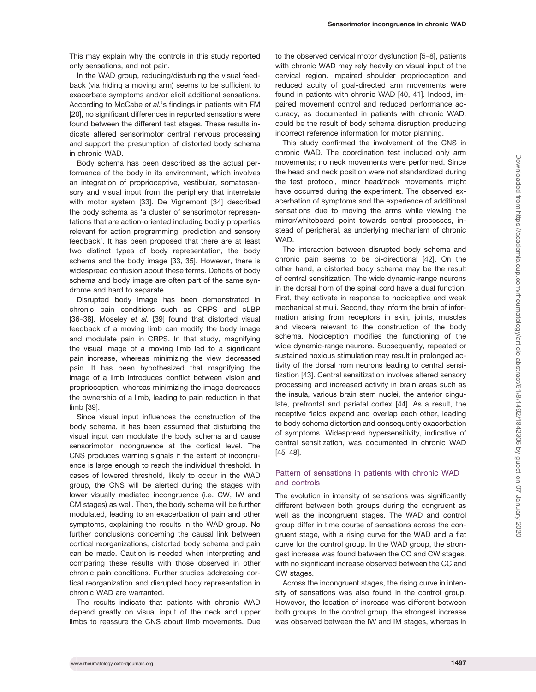This may explain why the controls in this study reported only sensations, and not pain.

In the WAD group, reducing/disturbing the visual feedback (via hiding a moving arm) seems to be sufficient to exacerbate symptoms and/or elicit additional sensations. According to McCabe et al.'s findings in patients with FM [[20\]](#page-6-0), no significant differences in reported sensations were found between the different test stages. These results indicate altered sensorimotor central nervous processing and support the presumption of distorted body schema in chronic WAD.

Body schema has been described as the actual performance of the body in its environment, which involves an integration of proprioceptive, vestibular, somatosensory and visual input from the periphery that interrelate with motor system [\[33\]](#page-7-0). De Vignemont [\[34\]](#page-7-0) described the body schema as 'a cluster of sensorimotor representations that are action-oriented including bodily properties relevant for action programming, prediction and sensory feedback'. It has been proposed that there are at least two distinct types of body representation, the body schema and the body image [[33](#page-7-0), [35](#page-7-0)]. However, there is widespread confusion about these terms. Deficits of body schema and body image are often part of the same syndrome and hard to separate.

Disrupted body image has been demonstrated in chronic pain conditions such as CRPS and cLBP [[36](#page-7-0)-[38](#page-7-0)]. Moseley et al. [[39](#page-7-0)] found that distorted visual feedback of a moving limb can modify the body image and modulate pain in CRPS. In that study, magnifying the visual image of a moving limb led to a significant pain increase, whereas minimizing the view decreased pain. It has been hypothesized that magnifying the image of a limb introduces conflict between vision and proprioception, whereas minimizing the image decreases the ownership of a limb, leading to pain reduction in that limb [\[39\]](#page-7-0).

Since visual input influences the construction of the body schema, it has been assumed that disturbing the visual input can modulate the body schema and cause sensorimotor incongruence at the cortical level. The CNS produces warning signals if the extent of incongruence is large enough to reach the individual threshold. In cases of lowered threshold, likely to occur in the WAD group, the CNS will be alerted during the stages with lower visually mediated incongruence (i.e. CW, IW and CM stages) as well. Then, the body schema will be further modulated, leading to an exacerbation of pain and other symptoms, explaining the results in the WAD group. No further conclusions concerning the causal link between cortical reorganizations, distorted body schema and pain can be made. Caution is needed when interpreting and comparing these results with those observed in other chronic pain conditions. Further studies addressing cortical reorganization and disrupted body representation in chronic WAD are warranted.

The results indicate that patients with chronic WAD depend greatly on visual input of the neck and upper limbs to reassure the CNS about limb movements. Due

to the observed cervical motor dysfunction [\[5](#page-6-0)-[8\]](#page-6-0), patients with chronic WAD may rely heavily on visual input of the cervical region. Impaired shoulder proprioception and reduced acuity of goal-directed arm movements were found in patients with chronic WAD [\[40](#page-7-0), [41](#page-7-0)]. Indeed, impaired movement control and reduced performance accuracy, as documented in patients with chronic WAD, could be the result of body schema disruption producing incorrect reference information for motor planning.

This study confirmed the involvement of the CNS in chronic WAD. The coordination test included only arm movements; no neck movements were performed. Since the head and neck position were not standardized during the test protocol, minor head/neck movements might have occurred during the experiment. The observed exacerbation of symptoms and the experience of additional sensations due to moving the arms while viewing the mirror/whiteboard point towards central processes, instead of peripheral, as underlying mechanism of chronic WAD.

The interaction between disrupted body schema and chronic pain seems to be bi-directional [\[42](#page-7-0)]. On the other hand, a distorted body schema may be the result of central sensitization. The wide dynamic-range neurons in the dorsal horn of the spinal cord have a dual function. First, they activate in response to nociceptive and weak mechanical stimuli. Second, they inform the brain of information arising from receptors in skin, joints, muscles and viscera relevant to the construction of the body schema. Nociception modifies the functioning of the wide dynamic-range neurons. Subsequently, repeated or sustained noxious stimulation may result in prolonged activity of the dorsal horn neurons leading to central sensitization [\[43\]](#page-7-0). Central sensitization involves altered sensory processing and increased activity in brain areas such as the insula, various brain stem nuclei, the anterior cingulate, prefrontal and parietal cortex [\[44\]](#page-7-0). As a result, the receptive fields expand and overlap each other, leading to body schema distortion and consequently exacerbation of symptoms. Widespread hypersensitivity, indicative of central sensitization, was documented in chronic WAD [[45](#page-7-0)-[48\]](#page-7-0).

## Pattern of sensations in patients with chronic WAD and controls

The evolution in intensity of sensations was significantly different between both groups during the congruent as well as the incongruent stages. The WAD and control group differ in time course of sensations across the congruent stage, with a rising curve for the WAD and a flat curve for the control group. In the WAD group, the strongest increase was found between the CC and CW stages, with no significant increase observed between the CC and CW stages.

Across the incongruent stages, the rising curve in intensity of sensations was also found in the control group. However, the location of increase was different between both groups. In the control group, the strongest increase was observed between the IW and IM stages, whereas in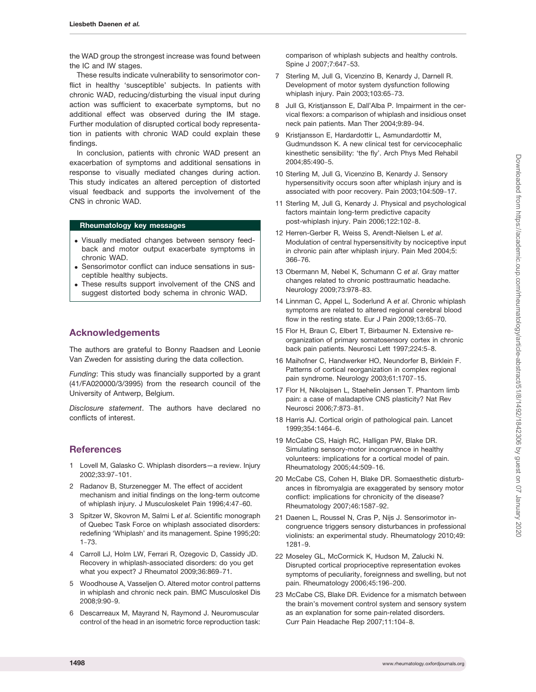<span id="page-6-0"></span>the WAD group the strongest increase was found between the IC and IW stages.

These results indicate vulnerability to sensorimotor conflict in healthy 'susceptible' subjects. In patients with chronic WAD, reducing/disturbing the visual input during action was sufficient to exacerbate symptoms, but no additional effect was observed during the IM stage. Further modulation of disrupted cortical body representation in patients with chronic WAD could explain these findings.

In conclusion, patients with chronic WAD present an exacerbation of symptoms and additional sensations in response to visually mediated changes during action. This study indicates an altered perception of distorted visual feedback and supports the involvement of the CNS in chronic WAD.

#### Rheumatology key messages

- . Visually mediated changes between sensory feedback and motor output exacerbate symptoms in chronic WAD.
- . Sensorimotor conflict can induce sensations in susceptible healthy subjects.
- . These results support involvement of the CNS and suggest distorted body schema in chronic WAD.

## Acknowledgements

The authors are grateful to Bonny Raadsen and Leonie Van Zweden for assisting during the data collection.

Funding: This study was financially supported by a grant (41/FA020000/3/3995) from the research council of the University of Antwerp, Belgium.

Disclosure statement. The authors have declared no conflicts of interest.

## **References**

- 1 Lovell M, Galasko C. Whiplash disorders—a review. Injury 2002;33:97-101.
- 2 Radanov B, Sturzenegger M. The effect of accident mechanism and initial findings on the long-term outcome of whiplash injury. J Musculoskelet Pain 1996;4:47-60.
- 3 Spitzer W, Skovron M, Salmi L et al. Scientific monograph of Quebec Task Force on whiplash associated disorders: redefining 'Whiplash' and its management. Spine 1995;20: 1-73.
- 4 Carroll LJ, Holm LW, Ferrari R, Ozegovic D, Cassidy JD. Recovery in whiplash-associated disorders: do you get what you expect? J Rheumatol 2009;36:869-71.
- 5 Woodhouse A, Vasseljen O. Altered motor control patterns in whiplash and chronic neck pain. BMC Musculoskel Dis 2008;9:90-9.
- 6 Descarreaux M, Mayrand N, Raymond J. Neuromuscular control of the head in an isometric force reproduction task:

comparison of whiplash subjects and healthy controls. Spine J 2007;7:647-53.

- 7 Sterling M, Jull G, Vicenzino B, Kenardy J, Darnell R. Development of motor system dysfunction following whiplash injury. Pain 2003;103:65-73.
- 8 Jull G, Kristjansson E, Dall'Alba P. Impairment in the cervical flexors: a comparison of whiplash and insidious onset neck pain patients. Man Ther 2004;9:89-94.
- 9 Kristjansson E, Hardardottir L, Asmundardottir M, Gudmundsson K. A new clinical test for cervicocephalic kinesthetic sensibility: 'the fly'. Arch Phys Med Rehabil 2004;85:490-5.
- 10 Sterling M, Jull G, Vicenzino B, Kenardy J. Sensory hypersensitivity occurs soon after whiplash injury and is associated with poor recovery. Pain 2003;104:509-17.
- 11 Sterling M, Jull G, Kenardy J. Physical and psychological factors maintain long-term predictive capacity post-whiplash injury. Pain 2006;122:102-8.
- 12 Herren-Gerber R, Weiss S, Arendt-Nielsen L et al. Modulation of central hypersensitivity by nociceptive input in chronic pain after whiplash injury. Pain Med 2004;5: 366-76.
- 13 Obermann M, Nebel K, Schumann C et al. Gray matter changes related to chronic posttraumatic headache. Neurology 2009;73:978-83.
- 14 Linnman C, Appel L, Soderlund A et al. Chronic whiplash symptoms are related to altered regional cerebral blood flow in the resting state. Eur J Pain 2009;13:65-70.
- 15 Flor H, Braun C, Elbert T, Birbaumer N. Extensive reorganization of primary somatosensory cortex in chronic back pain patients. Neurosci Lett 1997;224:5-8.
- 16 Maihofner C, Handwerker HO, Neundorfer B, Birklein F. Patterns of cortical reorganization in complex regional pain syndrome. Neurology 2003;61:1707-15.
- 17 Flor H, Nikolajsen L, Staehelin Jensen T. Phantom limb pain: a case of maladaptive CNS plasticity? Nat Rev Neurosci 2006;7:873-81.
- 18 Harris AJ. Cortical origin of pathological pain. Lancet 1999;354:1464-6.
- 19 McCabe CS, Haigh RC, Halligan PW, Blake DR. Simulating sensory-motor incongruence in healthy volunteers: implications for a cortical model of pain. Rheumatology 2005;44:509-16.
- 20 McCabe CS, Cohen H, Blake DR. Somaesthetic disturbances in fibromyalgia are exaggerated by sensory motor conflict: implications for chronicity of the disease? Rheumatology 2007;46:1587-92.
- 21 Daenen L, Roussel N, Cras P, Nijs J. Sensorimotor incongruence triggers sensory disturbances in professional violinists: an experimental study. Rheumatology 2010;49: 1281-9.
- 22 Moseley GL, McCormick K, Hudson M, Zalucki N. Disrupted cortical proprioceptive representation evokes symptoms of peculiarity, foreignness and swelling, but not pain. Rheumatology 2006;45:196-200.
- 23 McCabe CS, Blake DR. Evidence for a mismatch between the brain's movement control system and sensory system as an explanation for some pain-related disorders. Curr Pain Headache Rep 2007;11:104-8.